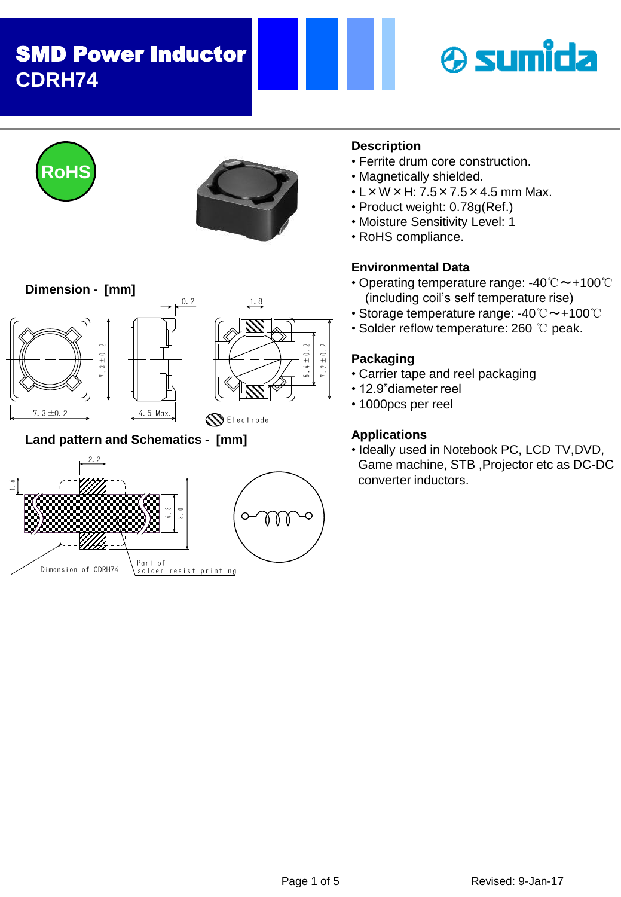











**Land pattern and Schematics - [mm]**



### **Description**

- Ferrite drum core construction.
- Magnetically shielded.
- $\cdot$  L  $\times$  W  $\times$  H: 7.5  $\times$  7.5  $\times$  4.5 mm Max.
- Product weight: 0.78g(Ref.)
- Moisture Sensitivity Level: 1
- RoHS compliance.

## **Environmental Data**

- Operating temperature range: -40℃~+100℃ (including coil's self temperature rise)
- Storage temperature range: -40℃~+100℃
- Solder reflow temperature: 260 ℃ peak.

## **Packaging**

 $\frac{1}{2}$  $7.2 \pm 0.2$ 

- Carrier tape and reel packaging
- 12.9"diameter reel
- 1000pcs per reel

## **Applications**

• Ideally used in Notebook PC, LCD TV,DVD, Game machine, STB ,Projector etc as DC-DC converter inductors.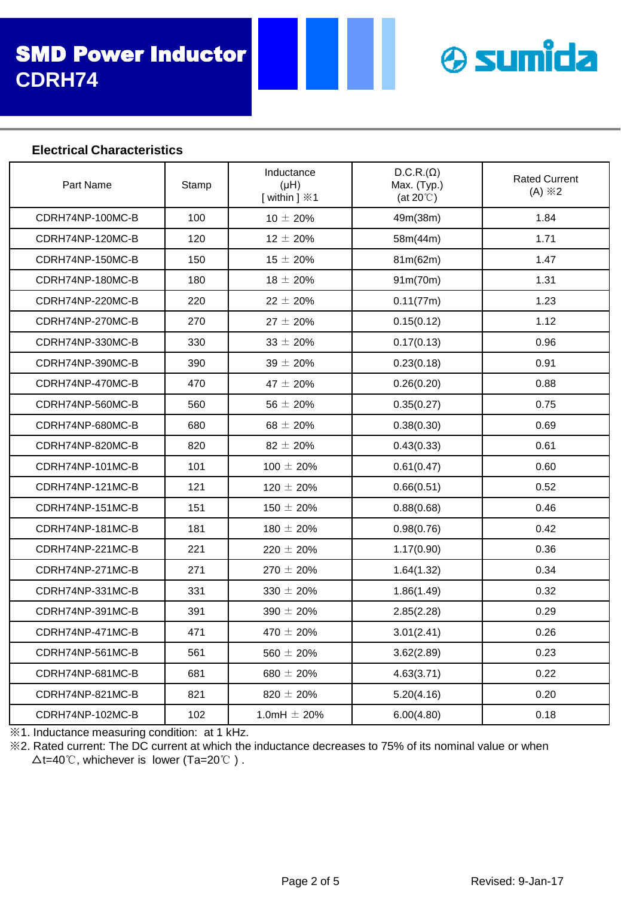

#### **Electrical Characteristics**

| Part Name                                    | Stamp                              | Inductance<br>$(\mu H)$<br>[within ] $\divideontimes$ 1 | $D.C.R.(\Omega)$<br>Max. (Typ.)<br>(at $20^{\circ}$ C) | <b>Rated Current</b><br>$(A) \times 2$ |
|----------------------------------------------|------------------------------------|---------------------------------------------------------|--------------------------------------------------------|----------------------------------------|
| CDRH74NP-100MC-B                             | 100                                | $10 \pm 20\%$                                           | 49m(38m)                                               | 1.84                                   |
| CDRH74NP-120MC-B                             | 120                                | $12 \pm 20\%$                                           | 58m(44m)                                               | 1.71                                   |
| CDRH74NP-150MC-B                             | 150                                | $15 \pm 20\%$                                           | 81m(62m)                                               | 1.47                                   |
| CDRH74NP-180MC-B                             | 180                                | $18 \pm 20\%$                                           | 91m(70m)                                               | 1.31                                   |
| CDRH74NP-220MC-B                             | 220                                | $22 \pm 20 \%$                                          | 0.11(77m)                                              | 1.23                                   |
| CDRH74NP-270MC-B                             | 270                                | $27 \pm 20 \%$                                          | 0.15(0.12)                                             | 1.12                                   |
| CDRH74NP-330MC-B                             | 330                                | $33 \pm 20 \%$                                          | 0.17(0.13)                                             | 0.96                                   |
| CDRH74NP-390MC-B                             | 390                                | $39 \pm 20 \%$                                          | 0.23(0.18)                                             | 0.91                                   |
| CDRH74NP-470MC-B                             | 470                                | $47 \pm 20 \%$                                          | 0.26(0.20)                                             | 0.88                                   |
| CDRH74NP-560MC-B                             | 560                                | $56 \pm 20\%$                                           | 0.35(0.27)                                             | 0.75                                   |
| CDRH74NP-680MC-B                             | 680                                | $68 \pm 20\%$                                           | 0.38(0.30)                                             | 0.69                                   |
| CDRH74NP-820MC-B                             | 820                                | $82 \pm 20\%$                                           | 0.43(0.33)                                             | 0.61                                   |
| CDRH74NP-101MC-B                             | 101                                | $100 \pm 20 \%$                                         | 0.61(0.47)                                             | 0.60                                   |
| CDRH74NP-121MC-B                             | 121                                | $120 \pm 20\%$                                          | 0.66(0.51)                                             | 0.52                                   |
| CDRH74NP-151MC-B                             | 151                                | $150 \pm 20 \%$                                         | 0.88(0.68)                                             | 0.46                                   |
| CDRH74NP-181MC-B                             | 181                                | $180 \pm 20\%$                                          | 0.98(0.76)                                             | 0.42                                   |
| CDRH74NP-221MC-B                             | 221                                | $220 \pm 20 \%$                                         | 1.17(0.90)                                             | 0.36                                   |
| CDRH74NP-271MC-B                             | 271                                | $270 \pm 20\%$                                          | 1.64(1.32)                                             | 0.34                                   |
| CDRH74NP-331MC-B                             | 331                                | $330 \pm 20\%$                                          | 1.86(1.49)                                             | 0.32                                   |
| CDRH74NP-391MC-B                             | 391                                | $390 \pm 20\%$                                          | 2.85(2.28)                                             | 0.29                                   |
| CDRH74NP-471MC-B                             | 471                                | $470 \pm 20 \%$                                         | 3.01(2.41)                                             | 0.26                                   |
| CDRH74NP-561MC-B                             | 561                                | $560 \pm 20 \%$                                         | 3.62(2.89)                                             | 0.23                                   |
| CDRH74NP-681MC-B                             | 681                                | $680 \pm 20 \%$                                         | 4.63(3.71)                                             | 0.22                                   |
| CDRH74NP-821MC-B                             | 821                                | $820 \pm 20 \%$                                         | 5.20(4.16)                                             | 0.20                                   |
| CDRH74NP-102MC-B<br>マス<br>ومستنقذ والمستندان | 102<br>to attack<br>$-1$ $-1$ $-1$ | 1.0mH $\pm$ 20%                                         | 6.00(4.80)                                             | 0.18                                   |

※1. Inductance measuring condition: at 1 kHz.

※2. Rated current: The DC current at which the inductance decreases to 75% of its nominal value or when  $\Delta t = 40^{\circ}$ C, whichever is lower (Ta=20 $^{\circ}$ C).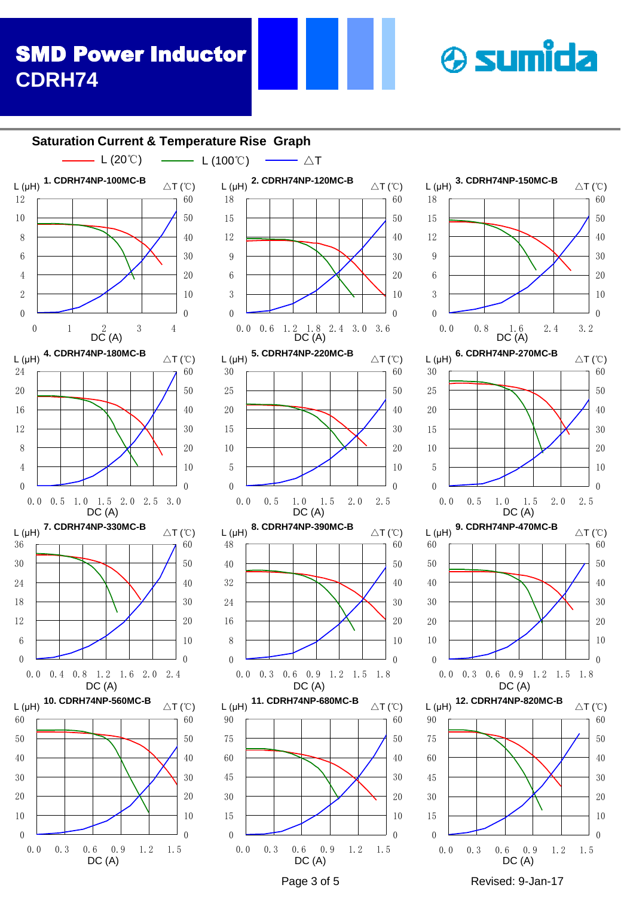$L(\mu H)$ 

#### Page 3 of 5 Revised: 9-Jan-17 <sup>0</sup> 0.0 0.3 0.6 0.9 1.2 1.5  $\overline{0}$  0.0 0.3 0.6 0.9 1.2 1.5  $\Omega$  0.0 0.3 0.6 0.9 1.2 1.5  $\Omega$   $\Omega$  0.0 0.3 0.6 0.9 1.2 1.5 1.8  $\Omega$  0.0 0.3 0.6 0.9 1.2 1.5 1.8  $\Omega$  0.0 0.4 0.8 1.2 1.6 2.0 2.4  $\theta$   $\Omega$  0.0 0.5 1.0 1.5 2.0 2.5  $\theta$  0.0 0.5 1.0 1.5 2.0 2.5  $\theta$  0.0 0.5 1.0 1.5 2.0 2.5 3.0  $\Omega$  0.0 0.8 1.6 2.4 3.2<br>DC(A) 0.0 0.6 1.2 1.8 2.4 3.0 3.6  $\theta$  0 1 2 3 4<br>DC (A) **Saturation Current & Temperature Rise Graph 1. CDRH74NP-100MC-B** L (μH) △T (℃) **2. CDRH74NP-120MC-B** L (μH) △T (℃) **3. CDRH74NP-150MC-B** L (μH) △T (℃) DC (A) **5. CDRH74NP-220MC-B**  $L(\mu H)$ <sup>3.</sup> UPRO $H$ <sup>41</sup>NF<sup>-22011</sup>N<sup>-D</sup>  $\Delta T$  (°C) **6. CDRH74NP-270MC-B**  $L(\mu H)$ <sup>0.</sup> UPROTANE -27 UNIU-D  $\triangle T(\text{C})$ DC (A) **7. CDRH74NP-330MC-B**  $L(\mu H)$   $\Lambda$  CDRH74NP-330MC-B  $\Delta T(\text{C})$ **8. CDRH74NP-390MC-B**  $L(\mu H)$  <sup>o.</sup> UDRTH 4NF-3901WU-D  $\Delta T(\text{C})$ DC (A) **9. CDRH74NP-470MC-B** L (μH) △T (℃) DC (A) **4. CDRH74NP-180MC-B** △T (℃)  $DC(A)$ DC (A)  $DC(A)$ **10. CDRH74NP-560MC-B** L ( $\mu$ H) <sup>10.</sup> CDRH/4NP-560MC-B  $\Delta T$  (°C) DC (A) **11. CDRH74NP-680MC-B** L (μH) △T (℃)  $DC(A)$ **12. CDRH74NP-820MC-B** L (μH) △T (℃) DC (A)  $-L (20^{\circ}C)$   $\longrightarrow$   $L (100^{\circ}C)$   $\longrightarrow$   $\triangle T$

**& sumida**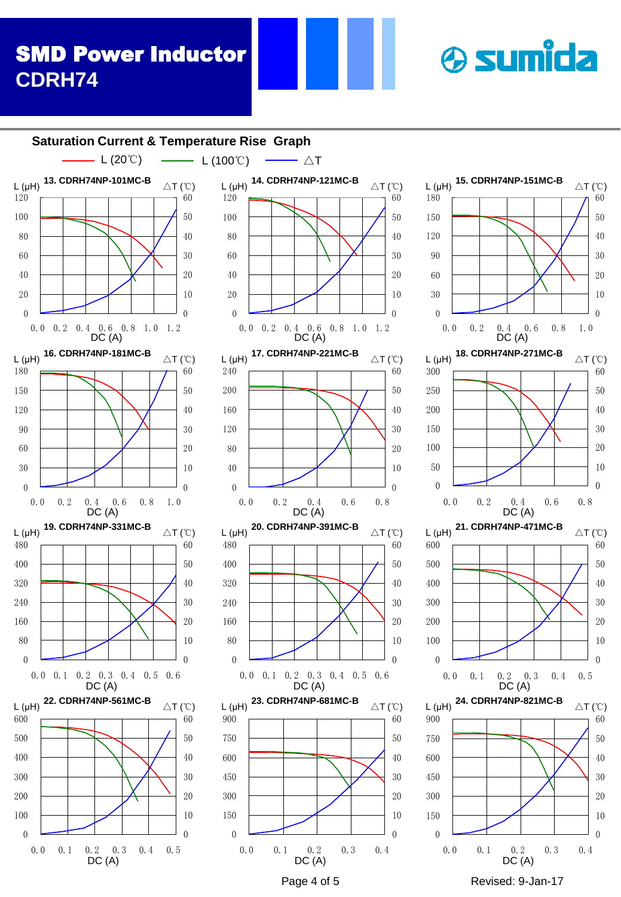#### $\begin{array}{ccccccc}\n & 0.2 & 0.3 & 0.4 & 0.0 & 0.1 & 0.2 & 0.3 \\
\hline\nDCA & & & & & & \n\end{array}$ <br>
Page 4 of 5 Revised: 9-Jan-17 0.0 0.1 0.2 0.3 0.4 0.0 0.1 0.2 0.3 0.4 0.0 0.1 0.2 0.3 0.4 0.5  $\theta$   $\Omega$  0.0 0.1 0.2 0.3 0.4 0.5  $\theta$  0.0 0.1 0.2 0.3 0.4 0.5 0.6  $\Omega$   $\Omega$  0.0 0.1 0.2 0.3 0.4 0.5 0.6  $\Omega$  0.0 0.2 0.4 0.6 0.8  $\overline{0}$  0.0 0.2 0.4 0.6 0.8  $\theta$  0.0 0.2 0.4 0.6 0.8 1.0  $\Omega$  0.0 0.2 0.4 0.6 0.8 1.0 0.0 0.2 0.4 0.6 0.8 1.0 1.2  $\Omega$  0.0 0.2 0.4 0.6 0.8 1.0 1.2 **Saturation Current & Temperature Rise Graph 13. CDRH74NP-101MC-B** L (μH) △T (℃) DC (A) **14. CDRH74NP-121MC-B** L (μH)  $T^4$  CDRH/4NP-121MC-B  $\Delta T$  (°C) **15. CDRH74NP-151MC-B** L (μH) <sup>15.</sup> CDRH/4NP-151MC-B  $\triangle T$  (°C)  $DC(A)$  $L(\mu H)$ DC (A) **17. CDRH74NP-221MC-B**  $L(\mu H)$   $\mu$ . CDNH74NF-221MC-B  $\Delta T(\text{C})$ **18. CDRH74NP-271MC-B**  $L(\mu H)$  <sup>10.</sup> CDNH74NF-27 IMC-B  $\triangle T(\text{°C})$ DC (A) **19. CDRH74NP-331MC-B** L (μH) △T (℃) **20. CDRH74NP-391MC-B** L (μH) △T (℃) DC (A) **21. CDRH74NP-471MC-B**  $L(\mu H)$  <sup>21.</sup> UPRO7419F-47 1190-B  $\Delta T(\text{C})$  $DC(A)$ **16. CDRH74NP-181MC-B** △T (℃) DC (A) DC (A)  $DC(A)$ **22. CDRH74NP-561MC-B**  $L(\mu H)$  22. CDRH/4NP-30 IMC-B  $\triangle T$  (°C) DC (A) **23. CDRH74NP-681MC-B**  $L(\mu H)$  <sup>23.</sup> CDRH74NF-001MC-B  $\triangle T$  (°C)  $DC(A)$  $-L(20^{\circ}\text{C})$   $\longrightarrow$   $L(100^{\circ}\text{C})$   $\longrightarrow$   $\triangle T$ **24. CDRH74NP-821MC-B**  $L(\mu H)$  <sup>24.</sup> CDRH74NF-621MC-B  $\triangle T(\text{°C})$  $DC(A)$

**& sumida**